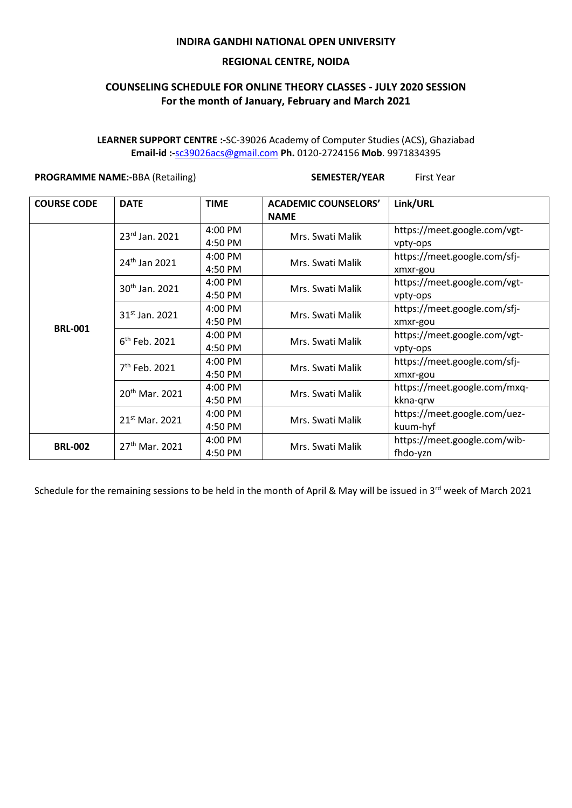## **INDIRA GANDHI NATIONAL OPEN UNIVERSITY**

### **REGIONAL CENTRE, NOIDA**

# **COUNSELING SCHEDULE FOR ONLINE THEORY CLASSES - JULY 2020 SESSION For the month of January, February and March 2021**

**LEARNER SUPPORT CENTRE :-**SC-39026 Academy of Computer Studies (ACS), Ghaziabad **Email-id :-**[sc39026acs@gmail.com](mailto:sc39026acs@gmail.com) **Ph.** 0120-2724156 **Mob**. 9971834395

## **PROGRAMME NAME:-**BBA (Retailing) **SEMESTER/YEAR** First Year

| <b>COURSE CODE</b> | <b>DATE</b>                | <b>TIME</b> | <b>ACADEMIC COUNSELORS'</b><br><b>NAME</b> | Link/URL                     |
|--------------------|----------------------------|-------------|--------------------------------------------|------------------------------|
| <b>BRL-001</b>     | $23^{\text{rd}}$ Jan. 2021 | $4:00$ PM   | Mrs. Swati Malik                           | https://meet.google.com/vgt- |
|                    |                            | 4:50 PM     |                                            | vpty-ops                     |
|                    | $24th$ Jan 2021            | 4:00 PM     | Mrs. Swati Malik                           | https://meet.google.com/sfj- |
|                    |                            | 4:50 PM     |                                            | xmxr-gou                     |
|                    | 30 <sup>th</sup> Jan. 2021 | 4:00 PM     | Mrs. Swati Malik                           | https://meet.google.com/vgt- |
|                    |                            | 4:50 PM     |                                            | vpty-ops                     |
|                    | $31^{st}$ Jan. 2021        | 4:00 PM     | Mrs. Swati Malik                           | https://meet.google.com/sfj- |
|                    |                            | 4:50 PM     |                                            | xmxr-gou                     |
|                    | $6th$ Feb. 2021            | 4:00 PM     | Mrs. Swati Malik                           | https://meet.google.com/vgt- |
|                    |                            | 4:50 PM     |                                            | vpty-ops                     |
|                    | $7th$ Feb. 2021            | 4:00 PM     | Mrs. Swati Malik                           | https://meet.google.com/sfj- |
|                    |                            | 4:50 PM     |                                            | xmxr-gou                     |
|                    | 20 <sup>th</sup> Mar. 2021 | 4:00 PM     | Mrs. Swati Malik                           | https://meet.google.com/mxq- |
|                    |                            | 4:50 PM     |                                            | kkna-grw                     |
|                    | 21 <sup>st</sup> Mar. 2021 | 4:00 PM     | Mrs. Swati Malik                           | https://meet.google.com/uez- |
|                    |                            | 4:50 PM     |                                            | kuum-hyf                     |
| <b>BRL-002</b>     | $27th$ Mar. 2021           | 4:00 PM     | Mrs. Swati Malik                           | https://meet.google.com/wib- |
|                    |                            | 4:50 PM     |                                            | fhdo-yzn                     |

Schedule for the remaining sessions to be held in the month of April & May will be issued in 3<sup>rd</sup> week of March 2021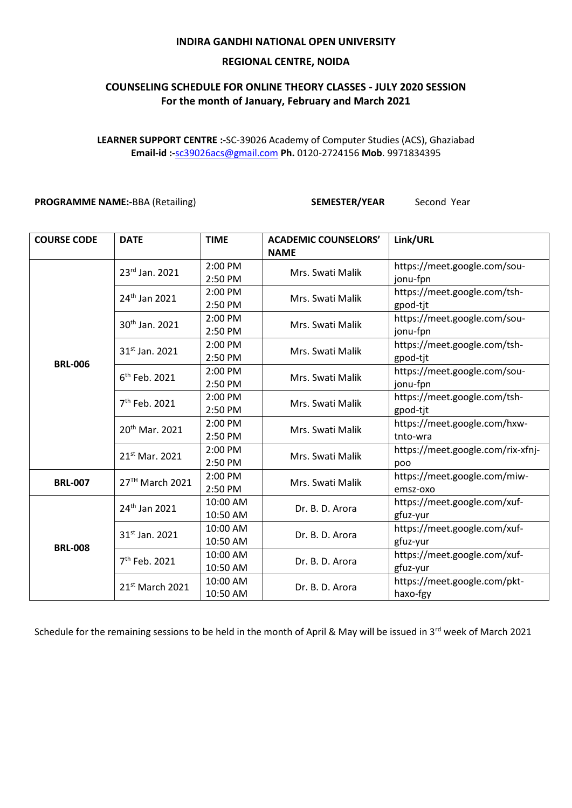## **INDIRA GANDHI NATIONAL OPEN UNIVERSITY**

### **REGIONAL CENTRE, NOIDA**

# **COUNSELING SCHEDULE FOR ONLINE THEORY CLASSES - JULY 2020 SESSION For the month of January, February and March 2021**

**LEARNER SUPPORT CENTRE :-**SC-39026 Academy of Computer Studies (ACS), Ghaziabad **Email-id :-**[sc39026acs@gmail.com](mailto:sc39026acs@gmail.com) **Ph.** 0120-2724156 **Mob**. 9971834395

#### **PROGRAMME NAME:-**BBA (Retailing) **SEMESTER/YEAR** Second Year

| <b>COURSE CODE</b> | <b>DATE</b>                 | <b>TIME</b> | <b>ACADEMIC COUNSELORS'</b> | Link/URL                          |
|--------------------|-----------------------------|-------------|-----------------------------|-----------------------------------|
|                    |                             |             | <b>NAME</b>                 |                                   |
|                    | 23rd Jan. 2021              | 2:00 PM     | Mrs. Swati Malik            | https://meet.google.com/sou-      |
|                    |                             | 2:50 PM     |                             | jonu-fpn                          |
|                    | 24 <sup>th</sup> Jan 2021   | 2:00 PM     | Mrs. Swati Malik            | https://meet.google.com/tsh-      |
|                    |                             | 2:50 PM     |                             | gpod-tjt                          |
|                    | 30 <sup>th</sup> Jan. 2021  | 2:00 PM     | Mrs. Swati Malik            | https://meet.google.com/sou-      |
|                    |                             | 2:50 PM     |                             | jonu-fpn                          |
|                    | $31^{st}$ Jan. 2021         | 2:00 PM     | Mrs. Swati Malik            | https://meet.google.com/tsh-      |
| <b>BRL-006</b>     |                             | 2:50 PM     |                             | gpod-tjt                          |
|                    | $6th$ Feb. 2021             | 2:00 PM     | Mrs. Swati Malik            | https://meet.google.com/sou-      |
|                    |                             | 2:50 PM     |                             | jonu-fpn                          |
|                    | 7 <sup>th</sup> Feb. 2021   | 2:00 PM     | Mrs. Swati Malik            | https://meet.google.com/tsh-      |
|                    |                             | 2:50 PM     |                             | gpod-tjt                          |
|                    | 20 <sup>th</sup> Mar. 2021  | 2:00 PM     | Mrs. Swati Malik            | https://meet.google.com/hxw-      |
|                    |                             | 2:50 PM     |                             | tnto-wra                          |
|                    | 21 <sup>st</sup> Mar. 2021  | 2:00 PM     | Mrs. Swati Malik            | https://meet.google.com/rix-xfnj- |
|                    |                             | 2:50 PM     |                             | poo                               |
| <b>BRL-007</b>     | 27TH March 2021             | 2:00 PM     | Mrs. Swati Malik            | https://meet.google.com/miw-      |
|                    |                             | 2:50 PM     |                             | emsz-oxo                          |
| <b>BRL-008</b>     | 24 <sup>th</sup> Jan 2021   | 10:00 AM    | Dr. B. D. Arora             | https://meet.google.com/xuf-      |
|                    |                             | 10:50 AM    |                             | gfuz-yur                          |
|                    | 31 <sup>st</sup> Jan. 2021  | 10:00 AM    | Dr. B. D. Arora             | https://meet.google.com/xuf-      |
|                    |                             | 10:50 AM    |                             | gfuz-yur                          |
|                    | 7 <sup>th</sup> Feb. 2021   | 10:00 AM    | Dr. B. D. Arora             | https://meet.google.com/xuf-      |
|                    |                             | 10:50 AM    |                             | gfuz-yur                          |
|                    | 21 <sup>st</sup> March 2021 | 10:00 AM    | Dr. B. D. Arora             | https://meet.google.com/pkt-      |
|                    |                             | 10:50 AM    |                             | haxo-fgy                          |

Schedule for the remaining sessions to be held in the month of April & May will be issued in 3<sup>rd</sup> week of March 2021